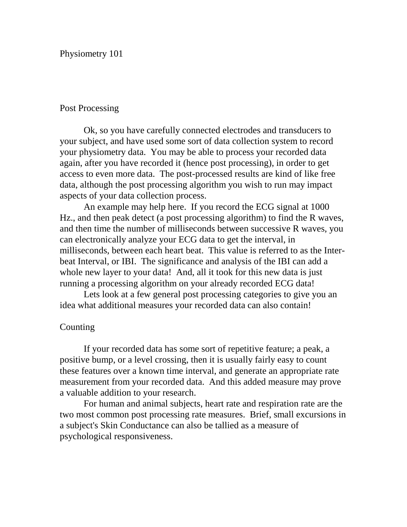Physiometry 101

### Post Processing

Ok, so you have carefully connected electrodes and transducers to your subject, and have used some sort of data collection system to record your physiometry data. You may be able to process your recorded data again, after you have recorded it (hence post processing), in order to get access to even more data. The post-processed results are kind of like free data, although the post processing algorithm you wish to run may impact aspects of your data collection process.

An example may help here. If you record the ECG signal at 1000 Hz., and then peak detect (a post processing algorithm) to find the R waves, and then time the number of milliseconds between successive R waves, you can electronically analyze your ECG data to get the interval, in milliseconds, between each heart beat. This value is referred to as the Interbeat Interval, or IBI. The significance and analysis of the IBI can add a whole new layer to your data! And, all it took for this new data is just running a processing algorithm on your already recorded ECG data!

Lets look at a few general post processing categories to give you an idea what additional measures your recorded data can also contain!

## **Counting**

If your recorded data has some sort of repetitive feature; a peak, a positive bump, or a level crossing, then it is usually fairly easy to count these features over a known time interval, and generate an appropriate rate measurement from your recorded data. And this added measure may prove a valuable addition to your research.

For human and animal subjects, heart rate and respiration rate are the two most common post processing rate measures. Brief, small excursions in a subject's Skin Conductance can also be tallied as a measure of psychological responsiveness.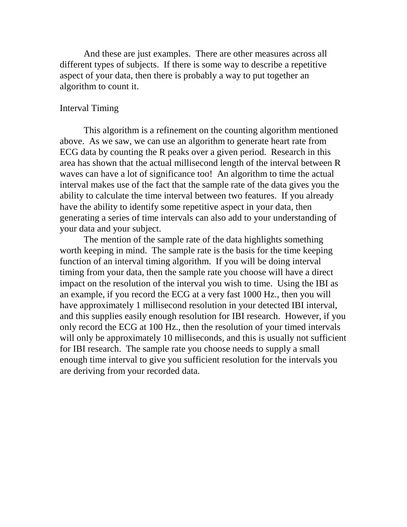And these are just examples. There are other measures across all different types of subjects. If there is some way to describe a repetitive aspect of your data, then there is probably a way to put together an algorithm to count it.

#### Interval Timing

This algorithm is a refinement on the counting algorithm mentioned above. As we saw, we can use an algorithm to generate heart rate from ECG data by counting the R peaks over a given period. Research in this area has shown that the actual millisecond length of the interval between R waves can have a lot of significance too! An algorithm to time the actual interval makes use of the fact that the sample rate of the data gives you the ability to calculate the time interval between two features. If you already have the ability to identify some repetitive aspect in your data, then generating a series of time intervals can also add to your understanding of your data and your subject.

The mention of the sample rate of the data highlights something worth keeping in mind. The sample rate is the basis for the time keeping function of an interval timing algorithm. If you will be doing interval timing from your data, then the sample rate you choose will have a direct impact on the resolution of the interval you wish to time. Using the IBI as an example, if you record the ECG at a very fast 1000 Hz., then you will have approximately 1 millisecond resolution in your detected IBI interval, and this supplies easily enough resolution for IBI research. However, if you only record the ECG at 100 Hz., then the resolution of your timed intervals will only be approximately 10 milliseconds, and this is usually not sufficient for IBI research. The sample rate you choose needs to supply a small enough time interval to give you sufficient resolution for the intervals you are deriving from your recorded data.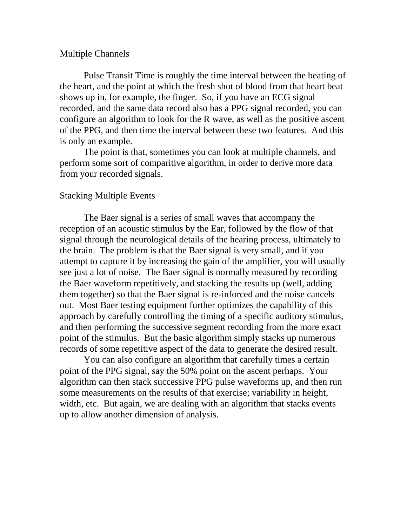#### Multiple Channels

Pulse Transit Time is roughly the time interval between the beating of the heart, and the point at which the fresh shot of blood from that heart beat shows up in, for example, the finger. So, if you have an ECG signal recorded, and the same data record also has a PPG signal recorded, you can configure an algorithm to look for the R wave, as well as the positive ascent of the PPG, and then time the interval between these two features. And this is only an example.

The point is that, sometimes you can look at multiple channels, and perform some sort of comparitive algorithm, in order to derive more data from your recorded signals.

# Stacking Multiple Events

The Baer signal is a series of small waves that accompany the reception of an acoustic stimulus by the Ear, followed by the flow of that signal through the neurological details of the hearing process, ultimately to the brain. The problem is that the Baer signal is very small, and if you attempt to capture it by increasing the gain of the amplifier, you will usually see just a lot of noise. The Baer signal is normally measured by recording the Baer waveform repetitively, and stacking the results up (well, adding them together) so that the Baer signal is re-inforced and the noise cancels out. Most Baer testing equipment further optimizes the capability of this approach by carefully controlling the timing of a specific auditory stimulus, and then performing the successive segment recording from the more exact point of the stimulus. But the basic algorithm simply stacks up numerous records of some repetitive aspect of the data to generate the desired result.

You can also configure an algorithm that carefully times a certain point of the PPG signal, say the 50% point on the ascent perhaps. Your algorithm can then stack successive PPG pulse waveforms up, and then run some measurements on the results of that exercise; variability in height, width, etc. But again, we are dealing with an algorithm that stacks events up to allow another dimension of analysis.